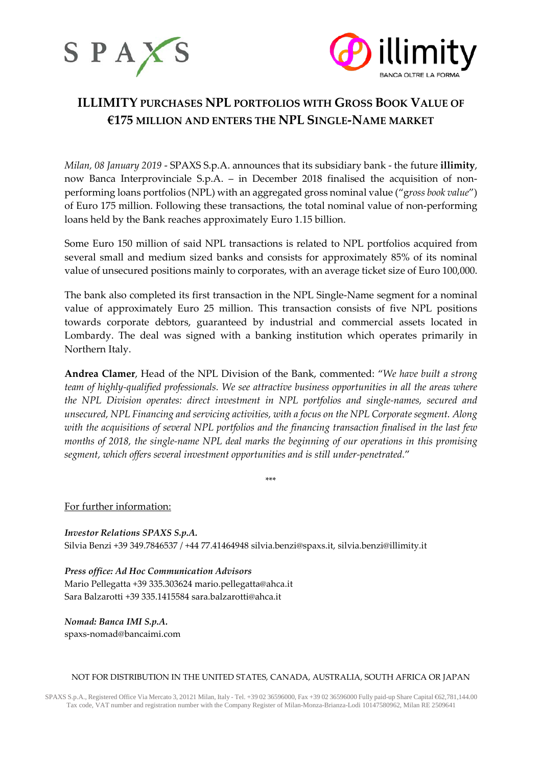



# **ILLIMITY PURCHASES NPL PORTFOLIOS WITH GROSS BOOK VALUE OF €175 MILLION AND ENTERS THE NPL SINGLE-NAME MARKET**

*Milan, 08 January 2019* - SPAXS S.p.A. announces that its subsidiary bank - the future **illimity**, now Banca Interprovinciale S.p.A. – in December 2018 finalised the acquisition of nonperforming loans portfolios (NPL) with an aggregated gross nominal value ("g*ross book value*") of Euro 175 million. Following these transactions, the total nominal value of non-performing loans held by the Bank reaches approximately Euro 1.15 billion.

Some Euro 150 million of said NPL transactions is related to NPL portfolios acquired from several small and medium sized banks and consists for approximately 85% of its nominal value of unsecured positions mainly to corporates, with an average ticket size of Euro 100,000.

The bank also completed its first transaction in the NPL Single-Name segment for a nominal value of approximately Euro 25 million. This transaction consists of five NPL positions towards corporate debtors, guaranteed by industrial and commercial assets located in Lombardy. The deal was signed with a banking institution which operates primarily in Northern Italy.

**Andrea Clamer**, Head of the NPL Division of the Bank, commented: "*We have built a strong team of highly-qualified professionals. We see attractive business opportunities in all the areas where the NPL Division operates: direct investment in NPL portfolios and single-names, secured and unsecured, NPL Financing and servicing activities, with a focus on the NPL Corporate segment. Along with the acquisitions of several NPL portfolios and the financing transaction finalised in the last few months of 2018, the single-name NPL deal marks the beginning of our operations in this promising segment, which offers several investment opportunities and is still under-penetrated.*"

\*\*\*

## For further information:

*Investor Relations SPAXS S.p.A.* Silvia Benzi +39 349.7846537 / +44 77.41464948 [silvia.benzi@spaxs.it,](mailto:silvia.benzi@spaxs.it) [silvia.benzi@illimity.it](mailto:silvia.benzi@illimity.it)

*Press office: Ad Hoc Communication Advisors* Mario Pellegatta +39 335.30362[4 mario.pellegatta@ahca.it](mailto:mario.pellegatta@ahca.it) Sara Balzarotti +39 335.141558[4 sara.balzarotti@ahca.it](mailto:sara.balzarotti@ahca.it)

*Nomad: Banca IMI S.p.A.* spaxs-nomad@bancaimi.com

### NOT FOR DISTRIBUTION IN THE UNITED STATES, CANADA, AUSTRALIA, SOUTH AFRICA OR JAPAN

SPAXS S.p.A., Registered Office Via Mercato 3, 20121 Milan, Italy - Tel. +39 02 36596000, Fax +39 02 36596000 Fully paid-up Share Capital €62,781,144.00 Tax code, VAT number and registration number with the Company Register of Milan-Monza-Brianza-Lodi 10147580962, Milan RE 2509641